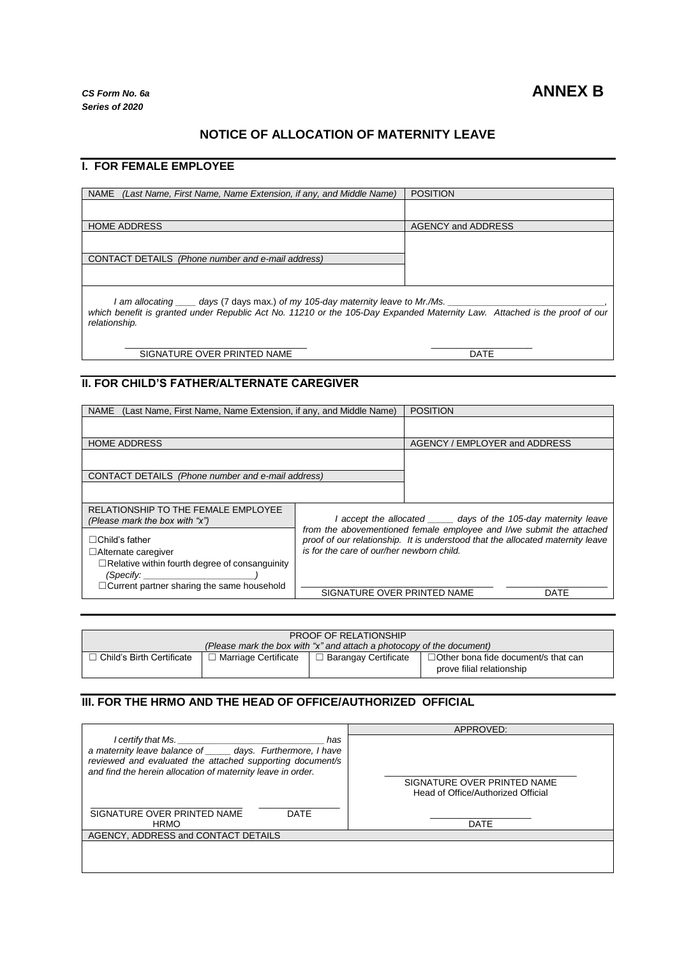## **NOTICE OF ALLOCATION OF MATERNITY LEAVE**

### **I. FOR FEMALE EMPLOYEE**

| <b>NAME</b><br>(Last Name, First Name, Name Extension, if any, and Middle Name) | <b>POSITION</b>           |  |
|---------------------------------------------------------------------------------|---------------------------|--|
|                                                                                 |                           |  |
| <b>HOME ADDRESS</b>                                                             | <b>AGENCY and ADDRESS</b> |  |
|                                                                                 |                           |  |
| CONTACT DETAILS (Phone number and e-mail address)                               |                           |  |
|                                                                                 |                           |  |
| days (7 days max.) of my 105-day maternity leave to Mr./Ms.<br>l am allocatinq  |                           |  |

*which benefit is granted under Republic Act No. 11210 or the 105-Day Expanded Maternity Law. Attached is the proof of our relationship.*

\_\_\_\_\_\_\_\_\_\_\_\_\_\_\_\_\_\_\_\_\_\_\_\_\_\_\_\_\_\_\_\_\_\_\_\_ SIGNATURE OVER PRINTED NAME

 $\mathcal{L}$  and  $\mathcal{L}$  are the set of the set of the set of the set of the set of the set of the set of the set of the set of the set of the set of the set of the set of the set of the set of the set of the set of the set DATE

# **II. FOR CHILD'S FATHER/ALTERNATE CAREGIVER**

| (Last Name, First Name, Name Extension, if any, and Middle Name)<br><b>NAME</b>                              |                                                                                                                                                                                                     | <b>POSITION</b>               |      |
|--------------------------------------------------------------------------------------------------------------|-----------------------------------------------------------------------------------------------------------------------------------------------------------------------------------------------------|-------------------------------|------|
|                                                                                                              |                                                                                                                                                                                                     |                               |      |
| <b>HOME ADDRESS</b>                                                                                          |                                                                                                                                                                                                     | AGENCY / EMPLOYER and ADDRESS |      |
|                                                                                                              |                                                                                                                                                                                                     |                               |      |
| CONTACT DETAILS (Phone number and e-mail address)                                                            |                                                                                                                                                                                                     |                               |      |
|                                                                                                              |                                                                                                                                                                                                     |                               |      |
| RELATIONSHIP TO THE FEMALE EMPLOYEE<br>(Please mark the box with "x")                                        | I accept the allocated ______ days of the 105-day maternity leave                                                                                                                                   |                               |      |
| $\Box$ Child's father<br>$\Box$ Alternate caregiver<br>$\Box$ Relative within fourth degree of consanguinity | from the abovementioned female employee and I/we submit the attached<br>proof of our relationship. It is understood that the allocated maternity leave<br>is for the care of our/her newborn child. |                               |      |
| (Specify: ______<br>$\Box$ Current partner sharing the same household                                        | SIGNATURE OVER PRINTED NAME                                                                                                                                                                         |                               | DATE |

| <b>PROOF OF RELATIONSHIP</b>                                          |                        |                             |                                            |  |
|-----------------------------------------------------------------------|------------------------|-----------------------------|--------------------------------------------|--|
| (Please mark the box with "x" and attach a photocopy of the document) |                        |                             |                                            |  |
| ∃ Child's Birth Certificate_                                          | □ Marriage Certificate | $\Box$ Barangay Certificate | $\Box$ Other bona fide document/s that can |  |
|                                                                       |                        |                             | prove filial relationship                  |  |

#### **III. FOR THE HRMO AND THE HEAD OF OFFICE/AUTHORIZED OFFICIAL**

|                                                              | APPROVED:                          |  |  |
|--------------------------------------------------------------|------------------------------------|--|--|
| <i>I</i> certify that Ms. $\overline{\phantom{a}}$<br>has    |                                    |  |  |
| a maternity leave balance of _____ days. Furthermore, I have |                                    |  |  |
| reviewed and evaluated the attached supporting document/s    |                                    |  |  |
| and find the herein allocation of maternity leave in order.  |                                    |  |  |
|                                                              | SIGNATURE OVER PRINTED NAME        |  |  |
|                                                              | Head of Office/Authorized Official |  |  |
|                                                              |                                    |  |  |
| SIGNATURE OVER PRINTED NAME<br><b>DATE</b>                   |                                    |  |  |
| <b>HRMO</b>                                                  | <b>DATE</b>                        |  |  |
| AGENCY, ADDRESS and CONTACT DETAILS                          |                                    |  |  |
|                                                              |                                    |  |  |
|                                                              |                                    |  |  |
|                                                              |                                    |  |  |